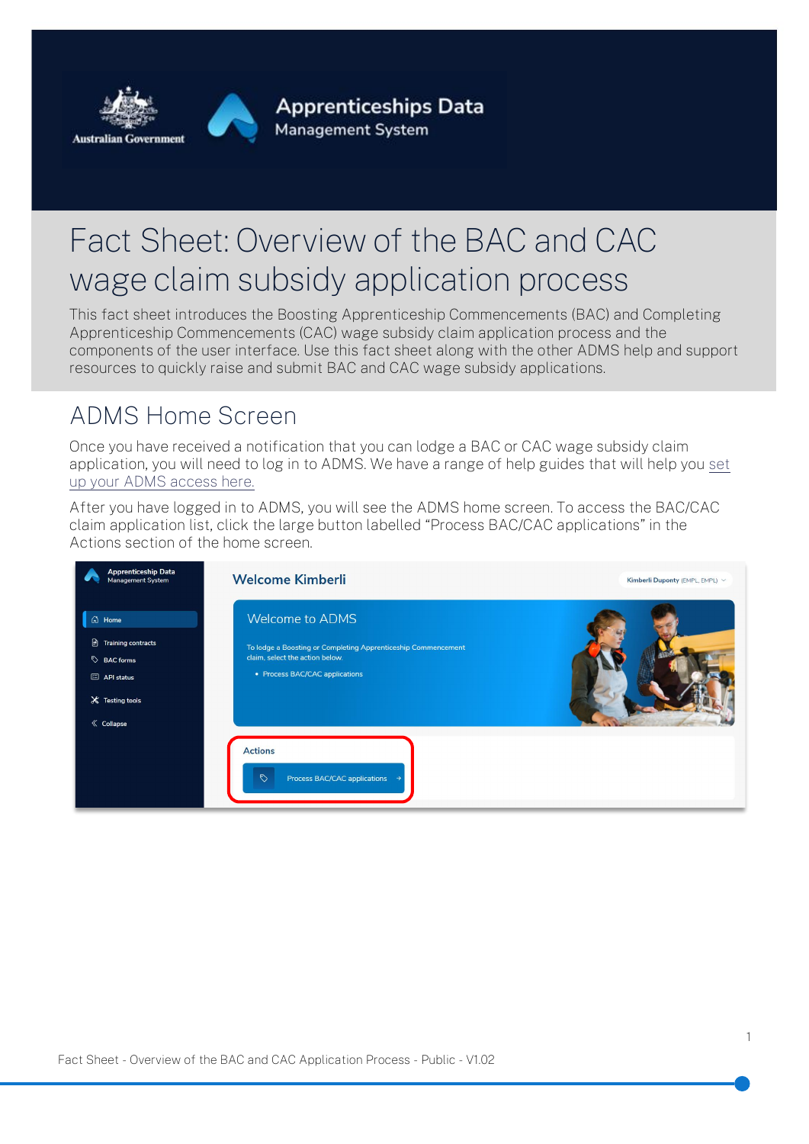

# Fact Sheet: Overview of the BAC and CAC wage claim subsidy application process

This fact sheet introduces the Boosting Apprenticeship Commencements (BAC) and Completing Apprenticeship Commencements (CAC) wage subsidy claim application process and the components of the user interface. Use this fact sheet along with the other ADMS help and support resources to quickly raise and submit BAC and CAC wage subsidy applications.

### ADMS Home Screen

Once you have received a notification that you can lodge a BAC or CAC wage subsidy claim application, you will need to log in to ADMS. We have a range of help guides that will help you [set](http://www.australianapprenticeships.gov.au/about-adms)  [up your ADMS access here.](http://www.australianapprenticeships.gov.au/about-adms)

After you have logged in to ADMS, you will see the ADMS home screen. To access the BAC/CAC claim application list, click the large button labelled "Process BAC/CAC applications" in the Actions section of the home screen.

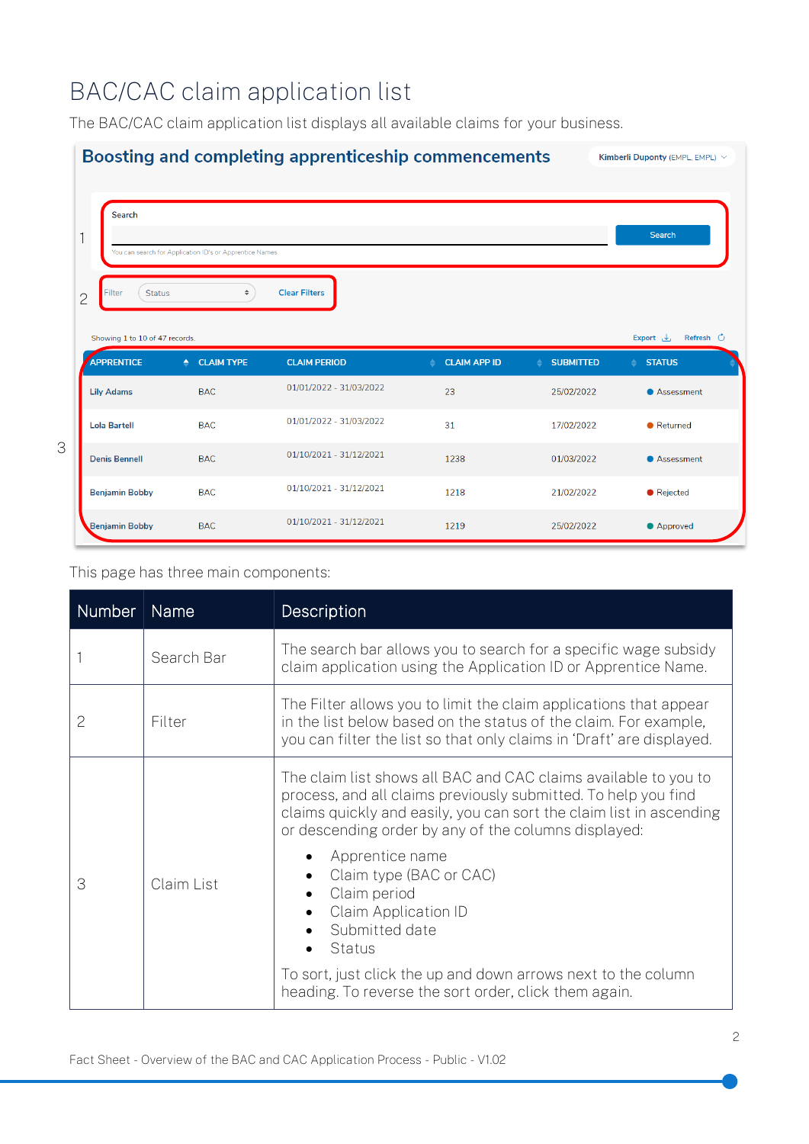## BAC/CAC claim application list

The BAC/CAC claim application list displays all available claims for your business.



#### This page has three main components:

| Number | <b>Name</b> | Description                                                                                                                                                                                                                                                      |
|--------|-------------|------------------------------------------------------------------------------------------------------------------------------------------------------------------------------------------------------------------------------------------------------------------|
|        | Search Bar  | The search bar allows you to search for a specific wage subsidy<br>claim application using the Application ID or Apprentice Name.                                                                                                                                |
| 2      | Filter      | The Filter allows you to limit the claim applications that appear<br>in the list below based on the status of the claim. For example,<br>you can filter the list so that only claims in 'Draft' are displayed.                                                   |
| 3      | Claim List  | The claim list shows all BAC and CAC claims available to you to<br>process, and all claims previously submitted. To help you find<br>claims quickly and easily, you can sort the claim list in ascending<br>or descending order by any of the columns displayed: |
|        |             | Apprentice name<br>Claim type (BAC or CAC)<br>Claim period<br><b>Claim Application ID</b><br>Submitted date<br>Status                                                                                                                                            |
|        |             | To sort, just click the up and down arrows next to the column<br>heading. To reverse the sort order, click them again.                                                                                                                                           |

2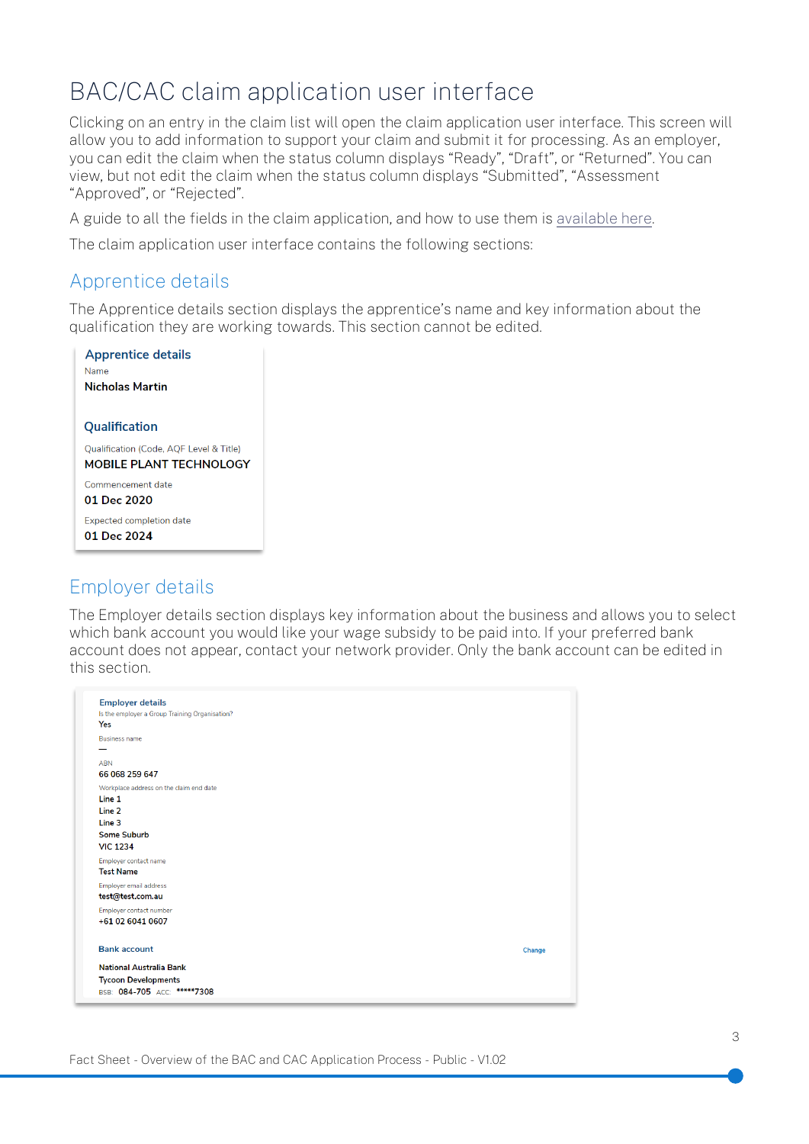### BAC/CAC claim application user interface

Clicking on an entry in the claim list will open the claim application user interface. This screen will allow you to add information to support your claim and submit it for processing. As an employer, you can edit the claim when the status column displays "Ready", "Draft", or "Returned". You can view, but not edit the claim when the status column displays "Submitted", "Assessment "Approved", or "Rejected".

A guide to all the fields in the claim application, and how to use them i[s available here.](http://www.australianapprenticeships.gov.au/about-adms)

The claim application user interface contains the following sections:

#### Apprentice details

The Apprentice details section displays the apprentice's name and key information about the qualification they are working towards. This section cannot be edited.

| <b>Apprentice details</b>               |  |
|-----------------------------------------|--|
| Name                                    |  |
| <b>Nicholas Martin</b>                  |  |
|                                         |  |
| Qualification                           |  |
| Qualification (Code, AQF Level & Title) |  |
| <b>MOBILE PLANT TECHNOLOGY</b>          |  |
| Commencement date                       |  |
| 01 Dec 2020                             |  |
| <b>Expected completion date</b>         |  |
| 01 Dec 2024                             |  |
|                                         |  |

#### Employer details

The Employer details section displays key information about the business and allows you to select which bank account you would like your wage subsidy to be paid into. If your preferred bank account does not appear, contact your network provider. Only the bank account can be edited in this section.

| <b>Employer details</b><br>Is the employer a Group Training Organisation?<br>Yes |        |
|----------------------------------------------------------------------------------|--------|
| <b>Business name</b>                                                             |        |
|                                                                                  |        |
| <b>ABN</b>                                                                       |        |
| 66 068 259 647                                                                   |        |
| Workplace address on the claim end date                                          |        |
| Line 1                                                                           |        |
| Line 2                                                                           |        |
| Line 3                                                                           |        |
| <b>Some Suburb</b>                                                               |        |
| <b>VIC 1234</b>                                                                  |        |
| Employer contact name                                                            |        |
| <b>Test Name</b>                                                                 |        |
| Employer email address                                                           |        |
| test@test.com.au                                                                 |        |
| Employer contact number                                                          |        |
| +61 02 6041 0607                                                                 |        |
| <b>Bank account</b>                                                              | Change |
| <b>National Australia Bank</b>                                                   |        |
| <b>Tycoon Developments</b>                                                       |        |
| BSB: 084-705 ACC: *****7308                                                      |        |
|                                                                                  |        |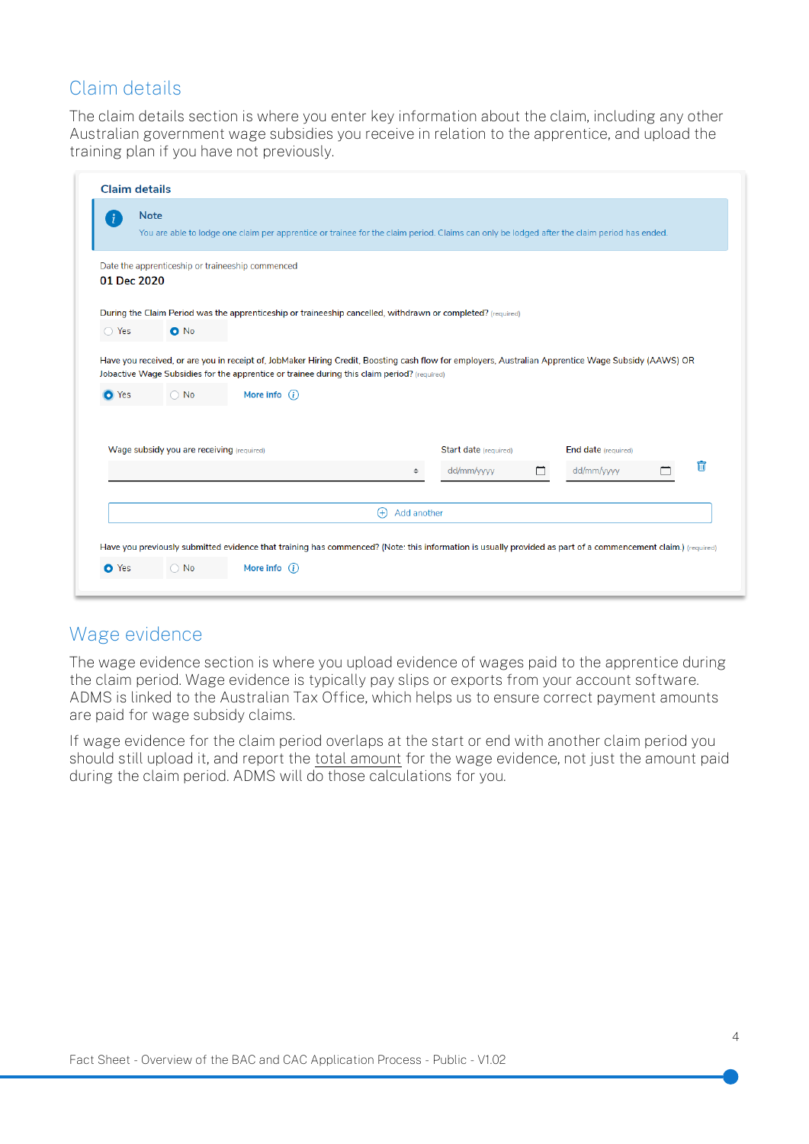#### Claim details

The claim details section is where you enter key information about the claim, including any other Australian government wage subsidies you receive in relation to the apprentice, and upload the training plan if you have not previously.

| Ŧ              | <b>Note</b>                                      |                                                                                                                                                                                 |                         |                                                                                                                                                     |   |                            |   |
|----------------|--------------------------------------------------|---------------------------------------------------------------------------------------------------------------------------------------------------------------------------------|-------------------------|-----------------------------------------------------------------------------------------------------------------------------------------------------|---|----------------------------|---|
|                |                                                  | You are able to lodge one claim per apprentice or trainee for the claim period. Claims can only be lodged after the claim period has ended.                                     |                         |                                                                                                                                                     |   |                            |   |
| 01 Dec 2020    | Date the apprenticeship or traineeship commenced |                                                                                                                                                                                 |                         |                                                                                                                                                     |   |                            |   |
|                |                                                  | During the Claim Period was the apprenticeship or traineeship cancelled, withdrawn or completed? (required)                                                                     |                         |                                                                                                                                                     |   |                            |   |
| $\bigcirc$ Yes | $O$ No                                           |                                                                                                                                                                                 |                         |                                                                                                                                                     |   |                            |   |
| <b>O</b> Yes   | $\bigcirc$ No                                    | Jobactive Wage Subsidies for the apprentice or trainee during this claim period? (required)<br>More info $(i)$                                                                  |                         | Have you received, or are you in receipt of, JobMaker Hiring Credit, Boosting cash flow for employers, Australian Apprentice Wage Subsidy (AAWS) OR |   |                            |   |
|                | Wage subsidy you are receiving (required)        |                                                                                                                                                                                 |                         | Start date (required)                                                                                                                               |   | <b>End date</b> (required) |   |
|                |                                                  |                                                                                                                                                                                 | $\div$                  | dd/mm/yyyy                                                                                                                                          | □ | dd/mm/yyyy                 | 而 |
|                |                                                  |                                                                                                                                                                                 |                         |                                                                                                                                                     |   |                            |   |
|                |                                                  |                                                                                                                                                                                 | Add another<br>$^{(+)}$ |                                                                                                                                                     |   |                            |   |
|                |                                                  |                                                                                                                                                                                 |                         |                                                                                                                                                     |   |                            |   |
| O Yes          | $\bigcirc$ No                                    | Have you previously submitted evidence that training has commenced? (Note: this information is usually provided as part of a commencement claim.) (required)<br>More info $(i)$ |                         |                                                                                                                                                     |   |                            |   |

#### Wage evidence

The wage evidence section is where you upload evidence of wages paid to the apprentice during the claim period. Wage evidence is typically pay slips or exports from your account software. ADMS is linked to the Australian Tax Office, which helps us to ensure correct payment amounts are paid for wage subsidy claims.

If wage evidence for the claim period overlaps at the start or end with another claim period you should still upload it, and report the total amount for the wage evidence, not just the amount paid during the claim period. ADMS will do those calculations for you.